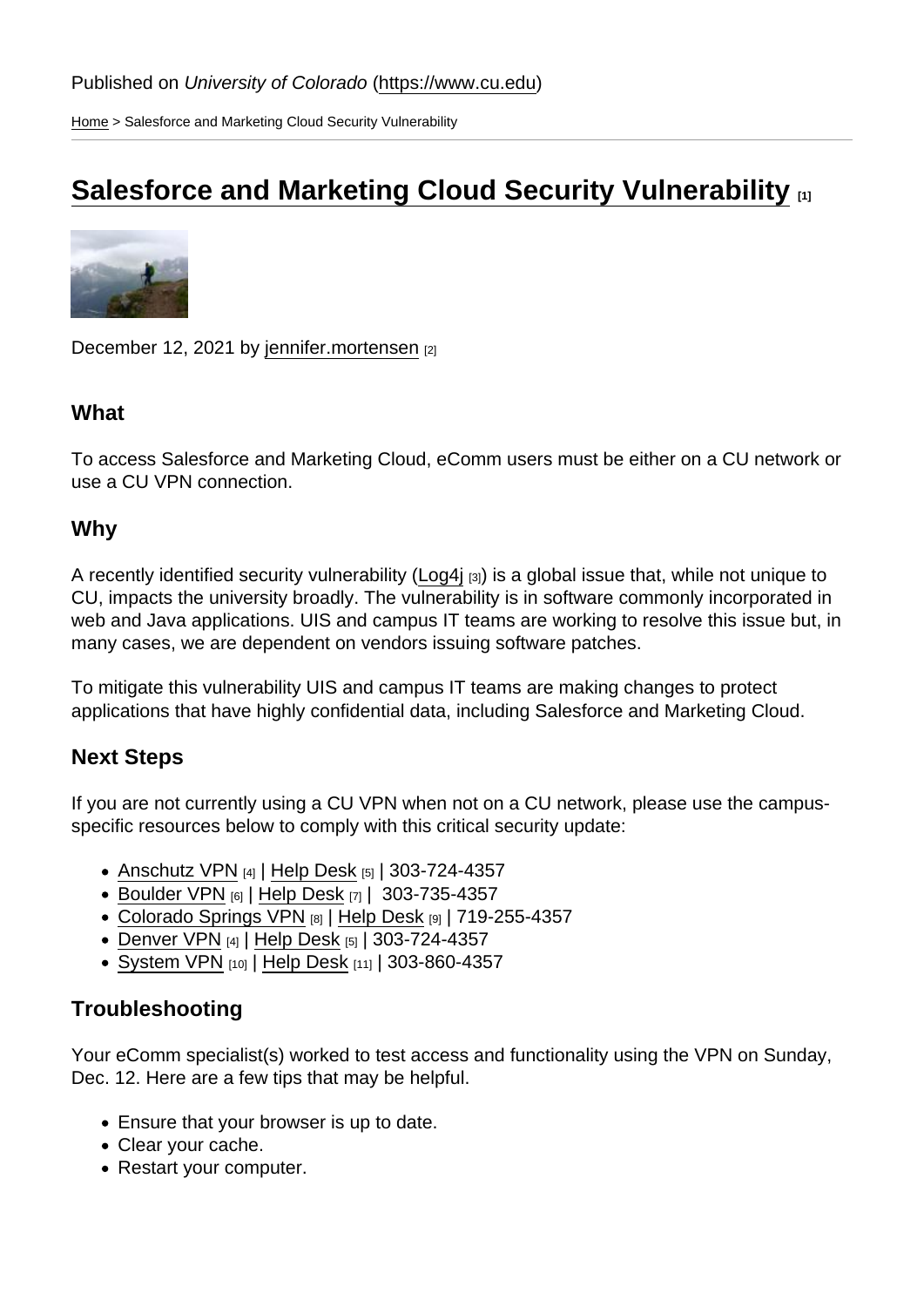[Home](https://www.cu.edu/) > Salesforce and Marketing Cloud Security Vulnerability

# [Salesforce and Marketing Cloud Security Vulnerability](https://www.cu.edu/blog/ecomm-wiki/salesforce-and-marketing-cloud-security-vulnerability) **Fig.** 191

December 12, 2021 by [jennifer.mortensen](https://www.cu.edu/blog/ecomm-wiki/author/13789) [2]

### **What**

To access Salesforce and Marketing Cloud, eComm users must be either on a CU network or use a CU VPN connection.

#### Why

A recently identified security vulnerability [\(Log4j](http://oit.colorado.edu/news/addressing-log4j-vulnerability) [3]) is a global issue that, while not unique to CU, impacts the university broadly. The vulnerability is in software commonly incorporated in web and Java applications. UIS and campus IT teams are working to resolve this issue but, in many cases, we are dependent on vendors issuing software patches.

To mitigate this vulnerability UIS and campus IT teams are making changes to protect applications that have highly confidential data, including Salesforce and Marketing Cloud.

### Next Steps

If you are not currently using a CU VPN when not on a CU network, please use the campusspecific resources below to comply with this critical security update:

- [Anschutz VPN](http://www.ucdenver.edu/offices/office-of-information-technology/software/how-do-i-use/vpn-and-remote-access) [4] | [Help Desk](https://www.ucdenver.edu/offices/office-of-information-technology/get-help) [5] | 303-724-4357
- [Boulder VPN](http://oit.colorado.edu/vpn-virtual-private-network) [6] | [Help Desk](https://oit.colorado.edu/support) [7] | 303-735-4357
- [Colorado Springs VPN](http://oit.uccs.edu/services/network-and-internet/vpn) [8] | [Help Desk](https://oit.uccs.edu/get-help) [9] | 719-255-4357
- [Denver VPN](http://www.ucdenver.edu/offices/office-of-information-technology/software/how-do-i-use/vpn-and-remote-access) [4] | [Help Desk](https://www.ucdenver.edu/offices/office-of-information-technology/get-help) [5] | 303-724-4357
- [System VPN](https://www.cu.edu/docs/vpn-install-and-configure-cisco-anyconnect-vpn-windows) [10] | [Help Desk](https://www.cu.edu/service-desk) [11] | 303-860-4357

### **Troubleshooting**

Your eComm specialist(s) worked to test access and functionality using the VPN on Sunday, Dec. 12. Here are a few tips that may be helpful.

- Ensure that your browser is up to date.
- Clear your cache.
- Restart your computer.